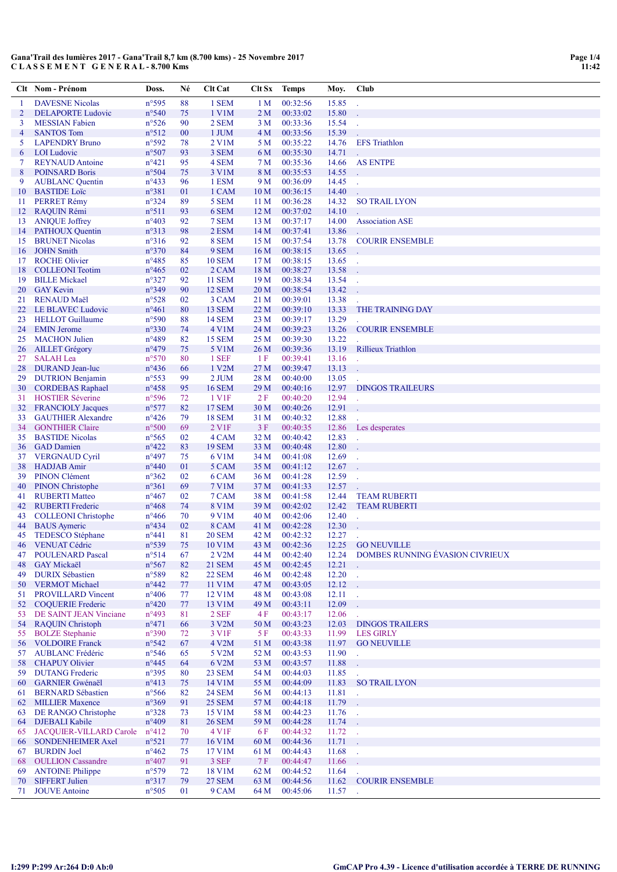|          | Clt Nom - Prénom                                | Doss.                             | Né       | <b>Clt Cat</b>         | Clt Sx                             | <b>Temps</b>         | Moy.           | Club                                                  |
|----------|-------------------------------------------------|-----------------------------------|----------|------------------------|------------------------------------|----------------------|----------------|-------------------------------------------------------|
| 1        | <b>DAVESNE Nicolas</b>                          | n°595                             | 88       | 1 SEM                  | 1 M                                | 00:32:56             | 15.85          |                                                       |
| 2        | <b>DELAPORTE Ludovic</b>                        | $n^{\circ}540$                    | 75       | 1 V1M                  | 2 M                                | 00:33:02             | 15.80          |                                                       |
| 3        | <b>MESSIAN Fabien</b>                           | $n^{\circ}526$                    | 90       | 2 SEM                  | 3 M                                | 00:33:36             | 15.54          |                                                       |
| 4        | <b>SANTOS Tom</b>                               | $n^{\circ}512$                    | 00       | 1 JUM                  | 4 M                                | 00:33:56             | 15.39          |                                                       |
| 5        | <b>LAPENDRY Bruno</b>                           | n°592                             | 78       | 2 V1M                  | 5 M                                | 00:35:22             | 14.76          | <b>EFS</b> Triathlon                                  |
| 6        | <b>LOI</b> Ludovic                              | $n^{\circ}507$                    | 93       | 3 SEM                  | 6 M                                | 00:35:30             | 14.71          |                                                       |
| 7        | <b>REYNAUD</b> Antoine                          | $n^{\circ}421$                    | 95       | 4 SEM                  | 7 M                                | 00:35:36             | 14.66          | <b>AS ENTPE</b>                                       |
| 8        | <b>POINSARD Boris</b>                           | $n^{\circ}504$                    | 75       | 3 V1M                  | 8 M                                | 00:35:53             | 14.55          |                                                       |
| 9        | <b>AUBLANC</b> Quentin                          | $n^{\circ}433$                    | 96       | 1 ESM                  | 9 M                                | 00:36:09             | 14.45          | $\overline{a}$                                        |
| 10       | <b>BASTIDE</b> Loïc<br><b>PERRET Rémy</b>       | n°381                             | 01<br>89 | 1 CAM<br>5 SEM         | 10 <sub>M</sub><br>11 <sub>M</sub> | 00:36:15<br>00:36:28 | 14.40<br>14.32 |                                                       |
| 11<br>12 | <b>RAQUIN Rémi</b>                              | $n^{\circ}324$<br>$n^{\circ}511$  | 93       | 6 SEM                  | 12 <sub>M</sub>                    | 00:37:02             | 14.10          | <b>SO TRAIL LYON</b>                                  |
| 13       | <b>ANIQUE Joffrey</b>                           | $n^{\circ}403$                    | 92       | 7 SEM                  | 13 M                               | 00:37:17             | 14.00          | <b>Association ASE</b>                                |
| 14       | <b>PATHOUX Quentin</b>                          | $n^{\circ}313$                    | 98       | 2 ESM                  | 14 <sub>M</sub>                    | 00:37:41             | 13.86          |                                                       |
| 15       | <b>BRUNET Nicolas</b>                           | $n^{\circ}316$                    | 92       | 8 SEM                  | 15 M                               | 00:37:54             | 13.78          | <b>COURIR ENSEMBLE</b>                                |
| 16       | <b>JOHN Smith</b>                               | $n^{\circ}370$                    | 84       | 9 SEM                  | 16 <sub>M</sub>                    | 00:38:15             | 13.65          |                                                       |
| 17       | <b>ROCHE Olivier</b>                            | $n^{\circ}485$                    | 85       | <b>10 SEM</b>          | 17 <sub>M</sub>                    | 00:38:15             | 13.65          | $\sim$                                                |
| 18       | <b>COLLEONI</b> Teotim                          | $n^{\circ}465$                    | 02       | 2 CAM                  | 18 M                               | 00:38:27             | 13.58          |                                                       |
| 19       | <b>BILLE Mickael</b>                            | $n^{\circ}327$                    | 92       | <b>11 SEM</b>          | 19 M                               | 00:38:34             | 13.54          | ÷.                                                    |
| 20       | <b>GAY Kevin</b>                                | n°349                             | 90       | <b>12 SEM</b>          | 20 <sub>M</sub>                    | 00:38:54             | 13.42          |                                                       |
| 21       | <b>RENAUD Maël</b><br><b>LE BLAVEC Ludovic</b>  | $n^{\circ}528$<br>$n^{\circ}461$  | 02<br>80 | 3 CAM<br>13 SEM        | 21 M<br>22 M                       | 00:39:01<br>00:39:10 | 13.38<br>13.33 | THE TRAINING DAY                                      |
| 22<br>23 | <b>HELLOT</b> Guillaume                         | n°590                             | 88       | <b>14 SEM</b>          | 23 M                               | 00:39:17             | 13.29          |                                                       |
| 24       | <b>EMIN</b> Jerome                              | $n^{\circ}330$                    | 74       | 4 V1M                  | 24 M                               | 00:39:23             | 13.26          | <b>COURIR ENSEMBLE</b>                                |
| 25       | <b>MACHON Julien</b>                            | n°489                             | 82       | <b>15 SEM</b>          | 25 M                               | 00:39:30             | 13.22          |                                                       |
| 26       | <b>AILLET</b> Grégory                           | $n^{\circ}479$                    | 75       | 5 V1M                  | 26 M                               | 00:39:36             | 13.19          | <b>Rillieux Triathlon</b>                             |
| 27       | <b>SALAH</b> Lea                                | $n^{\circ}570$                    | 80       | 1 SEF                  | 1 F                                | 00:39:41             | 13.16          |                                                       |
| 28       | <b>DURAND</b> Jean-luc                          | $n^{\circ}436$                    | 66       | 1 V2M                  | 27 M                               | 00:39:47             | 13.13          |                                                       |
| 29       | <b>DUTRION Benjamin</b>                         | $n^{\circ}$ 553                   | 99       | 2 JUM                  | 28 M                               | 00:40:00             | 13.05          |                                                       |
| 30       | <b>CORDEBAS Raphael</b>                         | $n^{\circ}458$                    | 95       | <b>16 SEM</b>          | 29 M                               | 00:40:16             | 12.97          | <b>DINGOS TRAILEURS</b>                               |
| 31       | <b>HOSTIER Séverine</b>                         | n°596                             | 72       | 1 V <sub>IF</sub>      | 2 F                                | 00:40:20             | 12.94          |                                                       |
| 32       | <b>FRANCIOLY Jacques</b>                        | $n^{\circ}577$                    | 82       | <b>17 SEM</b>          | 30 M                               | 00:40:26             | 12.91          |                                                       |
| 33       | <b>GAUTHIER Alexandre</b>                       | $n^{\circ}426$                    | 79       | <b>18 SEM</b>          | 31 M                               | 00:40:32             | 12.88          |                                                       |
| 34       | <b>GONTHIER Claire</b>                          | $n^{\circ}500$                    | 69       | 2 V1F                  | 3F                                 | 00:40:35             | 12.86          | Les desperates                                        |
| 35<br>36 | <b>BASTIDE Nicolas</b><br><b>GAD</b> Damien     | $n^{\circ}$ 565<br>$n^{\circ}422$ | 02<br>83 | 4 CAM<br><b>19 SEM</b> | 32 M<br>33 M                       | 00:40:42<br>00:40:48 | 12.83<br>12.80 | $\mathbb{Z}$                                          |
| 37       | <b>VERGNAUD Cyril</b>                           | $n^{\circ}497$                    | 75       | 6 V1M                  | 34 M                               | 00:41:08             | 12.69          | ÷.                                                    |
| 38       | <b>HADJAB</b> Amir                              | $n^{\circ}440$                    | 01       | 5 CAM                  | 35 M                               | 00:41:12             | 12.67          |                                                       |
| 39       | <b>PINON Clément</b>                            | $n^{\circ}362$                    | 02       | 6 CAM                  | 36 M                               | 00:41:28             | 12.59          |                                                       |
| 40       | <b>PINON Christophe</b>                         | $n^{\circ}361$                    | 69       | 7 V1M                  | 37 M                               | 00:41:33             | 12.57          |                                                       |
| 41       | <b>RUBERTI Matteo</b>                           | $n^{\circ}467$                    | 02       | 7 CAM                  | 38 M                               | 00:41:58             | 12.44          | <b>TEAM RUBERTI</b>                                   |
| 42       | <b>RUBERTI Frederic</b>                         | $n^{\circ}468$                    | 74       | <b>8 V1M</b>           | 39 M                               | 00:42:02             | 12.42          | <b>TEAM RUBERTI</b>                                   |
| 43       | <b>COLLEONI</b> Christophe                      | $n^{\circ}466$                    | 70       | 9 V1M                  | 40 M                               | 00:42:06             | 12.40          | $\mathbf{r}$                                          |
| 44       | <b>BAUS</b> Aymeric                             | $n^{\circ}434$                    | 02       | 8 CAM                  | 41 M                               | 00:42:28             | 12.30          |                                                       |
| 45       | TEDESCO Stéphane                                | $n^{\circ}441$                    | 81       | <b>20 SEM</b>          | 42 M                               | 00:42:32             | 12.27          |                                                       |
| 46<br>47 | <b>VENUAT Cédric</b><br><b>POULENARD Pascal</b> | $n^{\circ}539$<br>$n^{\circ}514$  | 75<br>67 | 10 V1M<br>2 V2M        | 43 M<br>44 M                       | 00:42:36<br>00:42:40 | 12.25<br>12.24 | <b>GO NEUVILLE</b><br>DOMBES RUNNING ÉVASION CIVRIEUX |
| 48       | <b>GAY Mickaël</b>                              | $n^{\circ}567$                    | 82       | <b>21 SEM</b>          | 45 M                               | 00:42:45             | 12.21          |                                                       |
| 49       | <b>DURIX Sébastien</b>                          | $n^{\circ}589$                    | 82       | <b>22 SEM</b>          | 46 M                               | 00:42:48             | 12.20          | $\sim$                                                |
| 50       | <b>VERMOT Michael</b>                           | $n^{\circ}442$                    | 77       | 11 V1M                 | 47 M                               | 00:43:05             | 12.12          | $\sim$                                                |
| 51       | <b>PROVILLARD Vincent</b>                       | $n^{\circ}406$                    | 77       | 12 V1M                 | 48 M                               | 00:43:08             | 12.11          | $\sim$                                                |
| 52       | <b>COQUERIE Frederic</b>                        | $n^{\circ}420$                    | 77       | 13 V1M                 | 49 M                               | 00:43:11             | 12.09          |                                                       |
| 53       | DE SAINT JEAN Vinciane                          | $n^{\circ}493$                    | 81       | 2 SEF                  | 4 F                                | 00:43:17             | 12.06          |                                                       |
| 54       | <b>RAQUIN Christoph</b>                         | $n^{\circ}471$                    | 66       | 3 V2M                  | 50 M                               | 00:43:23             | 12.03          | <b>DINGOS TRAILERS</b>                                |
| 55       | <b>BOLZE</b> Stephanie                          | $n^{\circ}390$                    | 72       | 3 V1F                  | 5 F                                | 00:43:33             | 11.99          | <b>LES GIRLY</b>                                      |
| 56       | <b>VOLDOIRE Franck</b>                          | $n^{\circ}542$                    | 67       | 4 V2M                  | 51 M                               | 00:43:38             | 11.97          | <b>GO NEUVILLE</b>                                    |
| 57       | <b>AUBLANC Frédéric</b>                         | $n^{\circ}$ 546                   | 65       | 5 V2M                  | 52 M                               | 00:43:53<br>00:43:57 | 11.90          | $\mathbb{Z}^2$                                        |
| 58<br>59 | <b>CHAPUY Olivier</b><br><b>DUTANG Frederic</b> | $n^{\circ}445$<br>n°395           | 64<br>80 | 6 V2M<br><b>23 SEM</b> | 53 M<br>54 M                       | 00:44:03             | 11.88<br>11.85 |                                                       |
| 60       | <b>GARNIER Gwénaël</b>                          | $n^{\circ}413$                    | 75       | 14 V1M                 | 55 M                               | 00:44:09             | 11.83          | $\overline{a}$<br><b>SO TRAIL LYON</b>                |
| 61       | <b>BERNARD Sébastien</b>                        | $n^{\circ}$ 566                   | 82       | <b>24 SEM</b>          | 56 M                               | 00:44:13             | 11.81          | $\mathbb{Z}$                                          |
| 62       | <b>MILLIER Maxence</b>                          | $n^{\circ}369$                    | 91       | <b>25 SEM</b>          | 57 M                               | 00:44:18             | 11.79          | ÷.                                                    |
| 63       | DE RANGO Christophe                             | $n^{\circ}328$                    | 73       | 15 V1M                 | 58 M                               | 00:44:23             | 11.76          | $\sim$                                                |
| 64       | <b>DJEBALI Kabile</b>                           | $n^{\circ}409$                    | 81       | <b>26 SEM</b>          | 59 M                               | 00:44:28             | 11.74          | ۰.                                                    |
| 65       | JACQUIER-VILLARD Carole                         | $n^{\circ}412$                    | 70       | 4 V <sub>1F</sub>      | 6 F                                | 00:44:32             | 11.72          | $\sim 1$                                              |
| 66       | <b>SONDENHEIMER Axel</b>                        | $n^{\circ}521$                    | 77       | 16 V1M                 | 60 M                               | 00:44:36             | 11.71          | ÷.                                                    |
| 67       | <b>BURDIN</b> Joel                              | $n^{\circ}462$                    | 75       | 17 V1M                 | 61 M                               | 00:44:43             | 11.68          | $\mathcal{L}_{\mathcal{A}}$                           |
| 68       | <b>OULLION</b> Cassandre                        | $n^{\circ}407$                    | 91       | 3 SEF                  | 7 F                                | 00:44:47             | 11.66          |                                                       |
| 69       | <b>ANTOINE Philippe</b>                         | $n^{\circ}579$                    | 72       | 18 V1M                 | 62 M                               | 00:44:52             | 11.64          |                                                       |
| 70<br>71 | <b>SIFFERT Julien</b><br><b>JOUVE</b> Antoine   | $n^{\circ}317$<br>$n^{\circ}505$  | 79<br>01 | <b>27 SEM</b><br>9 CAM | 63 M<br>64 M                       | 00:44:56<br>00:45:06 | 11.62<br>11.57 | <b>COURIR ENSEMBLE</b>                                |
|          |                                                 |                                   |          |                        |                                    |                      |                |                                                       |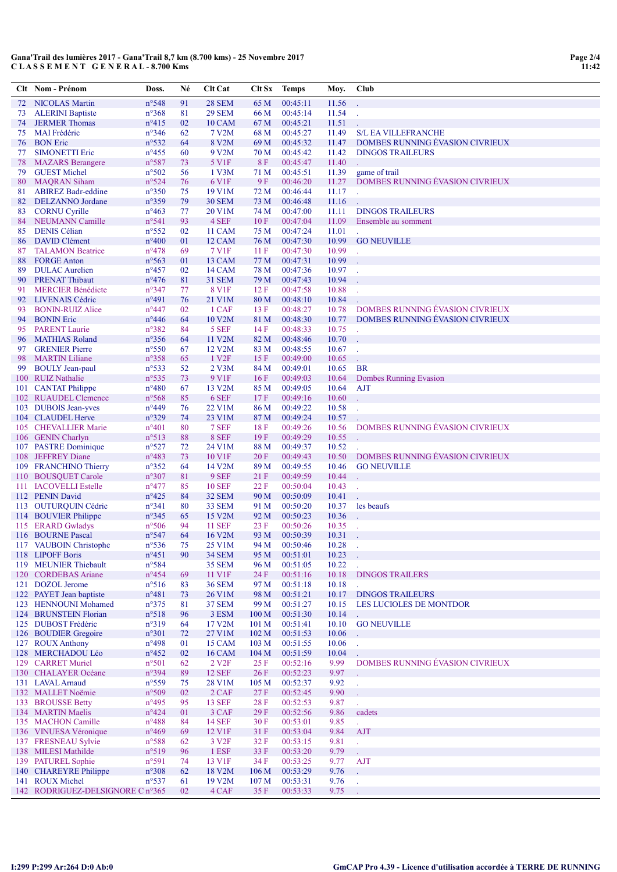|          | Clt Nom - Prénom                              | Doss.                            | Né       | <b>Clt Cat</b>                  | Clt Sx           | Temps                | Moy.           | Club                                                  |
|----------|-----------------------------------------------|----------------------------------|----------|---------------------------------|------------------|----------------------|----------------|-------------------------------------------------------|
| 72       | <b>NICOLAS Martin</b>                         | $n^{\circ}548$                   | 91       | <b>28 SEM</b>                   | 65 M             | 00:45:11             | 11.56          |                                                       |
| 73       | <b>ALERINI Baptiste</b>                       | $n^{\circ}368$                   | 81       | <b>29 SEM</b>                   | 66 M             | 00:45:14             | 11.54          |                                                       |
| 74       | <b>JERMER Thomas</b>                          | $n^{\circ}415$                   | 02       | <b>10 CAM</b>                   | 67 M             | 00:45:21             | 11.51          |                                                       |
| 75       | <b>MAI</b> Frédéric                           | $n^{\circ}346$                   | 62       | 7 V2M                           | 68 M             | 00:45:27             | 11.49          | <b>S/L EA VILLEFRANCHE</b>                            |
| 76       | <b>BON</b> Eric                               | $n^{\circ}532$                   | 64       | 8 V2M                           | 69 M             | 00:45:32             | 11.47          | DOMBES RUNNING EVASION CIVRIEUX                       |
| 77       | <b>SIMONETTI Eric</b>                         | $n^{\circ}455$                   | 60       | 9 V2M                           | 70 M             | 00:45:42             | 11.42          | <b>DINGOS TRAILEURS</b>                               |
| 78       | <b>MAZARS</b> Berangere                       | n°587                            | 73       | 5 V1F                           | 8F               | 00:45:47             | 11.40          |                                                       |
| 79<br>80 | <b>GUEST Michel</b><br><b>MAQRAN Siham</b>    | $n^{\circ}502$<br>$n^{\circ}524$ | 56<br>76 | $1$ V $3M$<br>6 V <sub>1F</sub> | 71 M<br>9F       | 00:45:51<br>00:46:20 | 11.39<br>11.27 | game of trail<br>DOMBES RUNNING ÉVASION CIVRIEUX      |
| 81       | <b>ABIREZ Badr-eddine</b>                     | $n^{\circ}350$                   | 75       | 19 V1M                          | 72 M             | 00:46:44             | 11.17          |                                                       |
| 82       | <b>DELZANNO</b> Jordane                       | $n^{\circ}359$                   | 79       | <b>30 SEM</b>                   | 73 M             | 00:46:48             | 11.16          |                                                       |
| 83       | <b>CORNU Cyrille</b>                          | $n^{\circ}463$                   | 77       | 20 V1M                          | 74 M             | 00:47:00             | 11.11          | <b>DINGOS TRAILEURS</b>                               |
| 84       | <b>NEUMANN Camille</b>                        | $n^{\circ}541$                   | 93       | 4 SEF                           | 10F              | 00:47:04             | 11.09          | Ensemble au somment                                   |
| 85       | <b>DENIS Célian</b>                           | $n^{\circ}$ 552                  | 02       | 11 CAM                          | 75 M             | 00:47:24             | 11.01          |                                                       |
| 86       | <b>DAVID Clément</b>                          | $n^{\circ}400$                   | 01       | 12 CAM                          | 76 M             | 00:47:30             | 10.99          | <b>GO NEUVILLE</b>                                    |
| 87       | <b>TALAMON Beatrice</b>                       | $n^{\circ}478$                   | 69       | 7 V1F                           | 11F              | 00:47:30             | 10.99          |                                                       |
| 88       | <b>FORGE Anton</b>                            | $n^{\circ}$ 563                  | 01       | 13 CAM                          | 77 M             | 00:47:31             | 10.99          |                                                       |
| 89       | <b>DULAC</b> Aurelien                         | $n^{\circ}457$                   | 02       | 14 CAM                          | 78 M             | 00:47:36             | 10.97          |                                                       |
| 90       | <b>PRENAT Thibaut</b>                         | $n^{\circ}476$                   | 81       | <b>31 SEM</b>                   | 79 M             | 00:47:43             | 10.94          |                                                       |
| 91       | <b>MERCIER Bénédicte</b>                      | $n^{\circ}347$                   | 77       | 8 V1F                           | 12F              | 00:47:58             | 10.88          |                                                       |
| 92<br>93 | <b>LIVENAIS Cédric</b>                        | $n^{\circ}491$<br>$n^{\circ}447$ | 76       | 21 V1M<br>1 CAF                 | 80 M             | 00:48:10<br>00:48:27 | 10.84<br>10.78 | DOMBES RUNNING ÉVASION CIVRIEUX                       |
| 94       | <b>BONIN-RUIZ Alice</b><br><b>BONIN Eric</b>  | $n^{\circ}446$                   | 02<br>64 | 10 V2M                          | 13F<br>81 M      | 00:48:30             | 10.77          | DOMBES RUNNING ÉVASION CIVRIEUX                       |
| 95       | <b>PARENT Laurie</b>                          | $n^{\circ}382$                   | 84       | 5 SEF                           | 14F              | 00:48:33             | 10.75          |                                                       |
| 96       | <b>MATHIAS Roland</b>                         | $n^{\circ}356$                   | 64       | 11 V2M                          | 82 M             | 00:48:46             | 10.70          |                                                       |
| 97       | <b>GRENIER Pierre</b>                         | $n^{\circ}550$                   | 67       | 12 V2M                          | 83 M             | 00:48:55             | 10.67          |                                                       |
| 98       | <b>MARTIN Liliane</b>                         | $n^{\circ}358$                   | 65       | 1 V <sub>2F</sub>               | 15F              | 00:49:00             | 10.65          |                                                       |
| 99       | <b>BOULY Jean-paul</b>                        | $n^{\circ}533$                   | 52       | 2 V3M                           | 84 M             | 00:49:01             | 10.65          | <b>BR</b>                                             |
|          | 100 RUIZ Nathalie                             | $n^{\circ}$ 535                  | 73       | 9 V1F                           | 16F              | 00:49:03             | 10.64          | Dombes Running Evasion                                |
|          | 101 CANTAT Philippe                           | $n^{\circ}480$                   | 67       | 13 V <sub>2</sub> M             | 85 M             | 00:49:05             | 10.64          | AJT                                                   |
|          | 102 RUAUDEL Clemence                          | $n^{\circ}$ 568                  | 85       | 6 SEF                           | 17F              | 00:49:16             | 10.60          |                                                       |
| 103      | <b>DUBOIS Jean-yves</b>                       | $n^{\circ}449$                   | 76       | 22 V1M                          | 86 M             | 00:49:22             | 10.58          |                                                       |
|          | 104 CLAUDEL Herve                             | $n^{\circ}329$                   | 74       | 23 V1M                          | 87 M             | 00:49:24             | 10.57          |                                                       |
|          | 105 CHEVALLIER Marie                          | $n^{\circ}401$                   | 80       | 7 SEF                           | 18 F             | 00:49:26             | 10.56          | DOMBES RUNNING ÉVASION CIVRIEUX                       |
|          | 106 GENIN Charlyn                             | $n^{\circ}513$                   | 88       | 8 SEF                           | 19F              | 00:49:29             | 10.55          |                                                       |
|          | 107 PASTRE Dominique                          | $n^{\circ}527$                   | 72       | 24 V1M                          | 88 M             | 00:49:37             | 10.52          |                                                       |
| 108      | <b>JEFFREY Diane</b><br>109 FRANCHINO Thierry | $n^{\circ}483$<br>$n^{\circ}352$ | 73<br>64 | 10 V1F<br>14 V <sub>2</sub> M   | 20 F<br>89 M     | 00:49:43<br>00:49:55 | 10.50<br>10.46 | DOMBES RUNNING ÉVASION CIVRIEUX<br><b>GO NEUVILLE</b> |
| 110      | <b>BOUSQUET Carole</b>                        | $n^{\circ}307$                   | 81       | 9 SEF                           | 21F              | 00:49:59             | 10.44          |                                                       |
| 111      | <b>IACOVELLI</b> Estelle                      | $n^{\circ}477$                   | 85       | <b>10 SEF</b>                   | 22F              | 00:50:04             | 10.43          |                                                       |
|          | 112 PENIN David                               | $n^{\circ}425$                   | 84       | <b>32 SEM</b>                   | 90 M             | 00:50:09             | 10.41          |                                                       |
|          | 113 OUTURQUIN Cédric                          | $n^{\circ}341$                   | 80       | <b>33 SEM</b>                   | 91 M             | 00:50:20             | 10.37          | les beaufs                                            |
|          | 114 BOUVIER Philippe                          | $n^{\circ}345$                   | 65       | 15 V2M                          | 92 M             | 00:50:23             | 10.36          |                                                       |
|          | 115 ERARD Gwladys                             | $n^{\circ}506$                   | 94       | <b>11 SEF</b>                   | 23 F             | 00:50:26             | 10.35          |                                                       |
|          | 116 BOURNE Pascal                             | $n^{\circ}547$                   | 64       | 16 V2M                          | 93 M             | 00:50:39             | 10.31          |                                                       |
|          | 117 VAUBOIN Christophe                        | $n^{\circ}$ 536                  | 75       | 25 V1M                          | 94 M             | 00:50:46             | 10.28          |                                                       |
|          | 118 LIPOFF Boris                              | $n^{\circ}451$                   | 90       | <b>34 SEM</b>                   | 95 M             | 00:51:01             | 10.23          |                                                       |
|          | 119 MEUNIER Thiebault                         | $n^{\circ}584$                   |          | <b>35 SEM</b>                   | 96 M             | 00:51:05             | 10.22          |                                                       |
|          | 120 CORDEBAS Ariane                           | $n^{\circ}454$                   | 69       | 11 V1F                          | 24 F             | 00:51:16             | 10.18          | <b>DINGOS TRAILERS</b>                                |
|          | 121 DOZOL Jerome<br>122 PAYET Jean baptiste   | $n^{\circ}516$<br>$n^{\circ}481$ | 83<br>73 | <b>36 SEM</b><br>26 V1M         | 97 M<br>98 M     | 00:51:18<br>00:51:21 | 10.18<br>10.17 | <b>DINGOS TRAILEURS</b>                               |
|          | 123 HENNOUNI Mohamed                          | $n^{\circ}375$                   | 81       | <b>37 SEM</b>                   | 99 M             | 00:51:27             | 10.15          | <b>LES LUCIOLES DE MONTDOR</b>                        |
|          | 124 BRUNSTEIN Florian                         | $n^{\circ}518$                   | 96       | 3 ESM                           | 100 <sub>M</sub> | 00:51:30             | 10.14          |                                                       |
|          | 125 DUBOST Frédéric                           | $n^{\circ}319$                   | 64       | 17 V2M                          | 101 M            | 00:51:41             | 10.10          | <b>GO NEUVILLE</b>                                    |
|          | 126 BOUDIER Gregoire                          | $n^{\circ}301$                   | 72       | 27 V1M                          | 102 <sub>M</sub> | 00:51:53             | 10.06          |                                                       |
|          | 127 ROUX Anthony                              | $n^{\circ}498$                   | 01       | 15 CAM                          | 103 M            | 00:51:55             | 10.06          |                                                       |
|          | 128 MERCHADOU Léo                             | $n^{\circ}452$                   | 02       | 16 CAM                          | 104 <sub>M</sub> | 00:51:59             | 10.04          |                                                       |
|          | 129 CARRET Muriel                             | $n^{\circ}501$                   | 62       | 2 V <sub>2F</sub>               | 25 F             | 00:52:16             | 9.99           | DOMBES RUNNING ÉVASION CIVRIEUX                       |
|          | 130 CHALAYER Océane                           | n°394                            | 89       | <b>12 SEF</b>                   | 26 F             | 00:52:23             | 9.97           |                                                       |
|          | 131 LAVAL Arnaud                              | $n^{\circ}$ 559                  | 75       | 28 V1M                          | 105 M            | 00:52:37             | 9.92           |                                                       |
|          | 132 MALLET Noëmie                             | $n^{\circ}509$                   | 02       | 2 CAF                           | 27F              | 00:52:45             | 9.90           |                                                       |
|          | 133 BROUSSE Betty                             | $n^{\circ}495$                   | 95       | <b>13 SEF</b>                   | 28 F             | 00:52:53             | 9.87           |                                                       |
|          | 134 MARTIN Maelis                             | $n^{\circ}424$                   | 01       | 3 CAF                           | 29 F             | 00:52:56             | 9.86           | cadets                                                |
|          | 135 MACHON Camille                            | $n^{\circ}488$                   | 84       | <b>14 SEF</b>                   | 30 F             | 00:53:01             | 9.85           |                                                       |
|          | 136 VINUESA Véronique<br>137 FRESNEAU Sylvie  | $n^{\circ}469$<br>$n^{\circ}588$ | 69       | 12 V1F<br>3 V <sub>2F</sub>     | 31 F             | 00:53:04             | 9.84<br>9.81   | AJT                                                   |
|          | 138 MILESI Mathilde                           | $n^{\circ}519$                   | 62<br>96 | 1 ESF                           | 32 F<br>33 F     | 00:53:15<br>00:53:20 | 9.79           | t,                                                    |
|          | 139 PATUREL Sophie                            | $n^{\circ}591$                   | 74       | 13 V1F                          | 34 F             | 00:53:25             | 9.77           | <b>AJT</b>                                            |
|          | 140 CHAREYRE Philippe                         | $n^{\circ}308$                   | 62       | 18 V2M                          | 106 <sub>M</sub> | 00:53:29             | 9.76           |                                                       |
|          | 141 ROUX Michel                               | $n^{\circ}537$                   | 61       | 19 V <sub>2</sub> M             | 107 <sub>M</sub> | 00:53:31             | 9.76           | ÷,                                                    |
|          | 142 RODRIGUEZ-DELSIGNORE C n°365              |                                  | 02       | 4 CAF                           | 35F              | 00:53:33             | 9.75           | $\mathbb{Z}^2$                                        |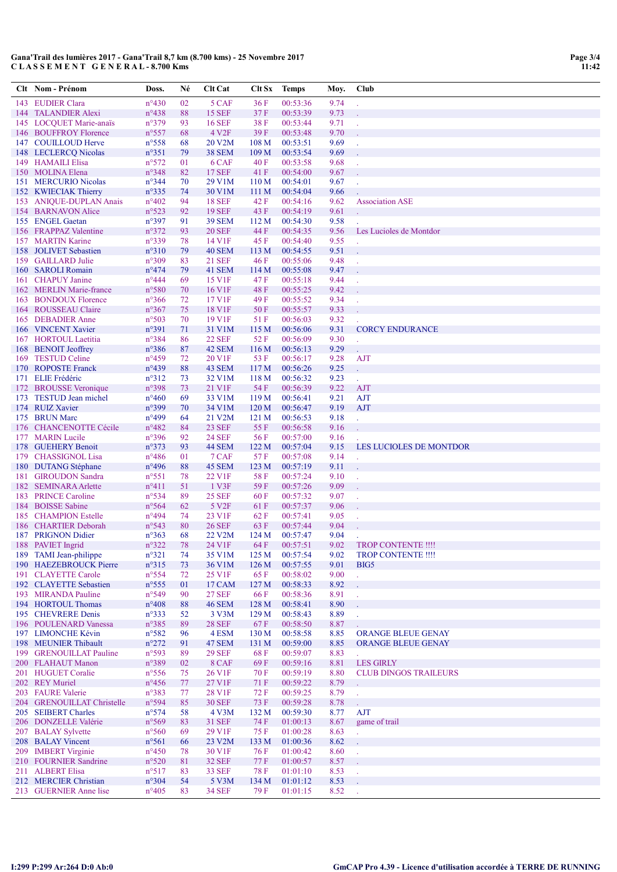|            | Clt Nom - Prénom                                  | Doss.                              | Né       | <b>Clt Cat</b>                 | Clt Sx                               | <b>Temps</b>         | Moy.         | Club                                             |
|------------|---------------------------------------------------|------------------------------------|----------|--------------------------------|--------------------------------------|----------------------|--------------|--------------------------------------------------|
| 143        | <b>EUDIER Clara</b>                               | $n^{\circ}430$                     | 02       | 5 CAF                          | 36 F                                 | 00:53:36             | 9.74         |                                                  |
| 144        | <b>TALANDIER Alexi</b>                            | $n^{\circ}438$                     | 88       | <b>15 SEF</b>                  | 37F                                  | 00:53:39             | 9.73         |                                                  |
|            | 145 LOCQUET Marie-anaïs                           | $n^{\circ}379$                     | 93       | <b>16 SEF</b>                  | 38 F                                 | 00:53:44             | 9.71         |                                                  |
| 146        | <b>BOUFFROY Florence</b><br>147 COUILLOUD Herve   | $n^{\circ}$ 557<br>$n^{\circ}$ 558 | 68<br>68 | 4 V <sub>2F</sub><br>20 V2M    | 39F<br>108 M                         | 00:53:48<br>00:53:51 | 9.70<br>9.69 |                                                  |
| 148        | <b>LECLERCO Nicolas</b>                           | $n^{\circ}351$                     | 79       | <b>38 SEM</b>                  | 109 <sub>M</sub>                     | 00:53:54             | 9.69         |                                                  |
|            | 149 HAMAILI Elisa                                 | $n^{\circ}572$                     | 01       | 6 CAF                          | 40 F                                 | 00:53:58             | 9.68         |                                                  |
| 150        | <b>MOLINA Elena</b>                               | n°348                              | 82       | <b>17 SEF</b>                  | 41 F                                 | 00:54:00             | 9.67         |                                                  |
| 151        | <b>MERCURIO Nicolas</b>                           | $n^{\circ}344$                     | 70       | 29 V1M                         | 110 <sub>M</sub>                     | 00:54:01             | 9.67         |                                                  |
|            | 152 KWIECIAK Thierry                              | $n^{\circ}335$                     | 74       | 30 V1M                         | 111 M                                | 00:54:04             | 9.66         |                                                  |
| 153        | <b>ANIQUE-DUPLAN Anais</b><br>154 BARNAVON Alice  | $n^{\circ}402$<br>$n^{\circ}523$   | 94<br>92 | <b>18 SEF</b><br><b>19 SEF</b> | 42 F<br>43 F                         | 00:54:16<br>00:54:19 | 9.62<br>9.61 | <b>Association ASE</b>                           |
| 155        | <b>ENGEL Gaetan</b>                               | $n^{\circ}397$                     | 91       | <b>39 SEM</b>                  | 112 M                                | 00:54:30             | 9.58         |                                                  |
| 156        | <b>FRAPPAZ Valentine</b>                          | $n^{\circ}372$                     | 93       | <b>20 SEF</b>                  | 44 F                                 | 00:54:35             | 9.56         | Les Lucioles de Montdor                          |
| 157        | <b>MARTIN Karine</b>                              | n°339                              | 78       | 14 V1F                         | 45 F                                 | 00:54:40             | 9.55         |                                                  |
| 158        | <b>JOLIVET</b> Sebastien                          | $n^{\circ}310$                     | 79       | <b>40 SEM</b>                  | 113 M                                | 00:54:55             | 9.51         |                                                  |
|            | 159 GAILLARD Julie                                | n°309                              | 83       | <b>21 SEF</b>                  | 46 F                                 | 00:55:06             | 9.48         |                                                  |
| 160<br>161 | <b>SAROLI Romain</b><br><b>CHAPUY</b> Janine      | $n^{\circ}474$<br>$n^{\circ}444$   | 79<br>69 | 41 SEM<br>15 V1F               | 114 M<br>47 F                        | 00:55:08<br>00:55:18 | 9.47<br>9.44 |                                                  |
| 162        | <b>MERLIN</b> Marie-france                        | $n^{\circ}580$                     | 70       | 16 V1F                         | 48 F                                 | 00:55:25             | 9.42         |                                                  |
| 163        | <b>BONDOUX Florence</b>                           | $n^{\circ}366$                     | 72       | 17 V1F                         | 49 F                                 | 00:55:52             | 9.34         |                                                  |
| 164        | <b>ROUSSEAU Claire</b>                            | $n^{\circ}367$                     | 75       | 18 V1F                         | 50 F                                 | 00:55:57             | 9.33         |                                                  |
| 165        | <b>DEBADIER Anne</b>                              | $n^{\circ}503$                     | 70       | 19 V1F                         | 51 F                                 | 00:56:03             | 9.32         |                                                  |
|            | 166 VINCENT Xavier                                | n°391                              | 71       | 31 V1M                         | 115 M                                | 00:56:06             | 9.31         | <b>CORCY ENDURANCE</b>                           |
| 167<br>168 | <b>HORTOUL Laetitia</b><br><b>BENOIT</b> Jeoffrey | $n^{\circ}384$<br>n°386            | 86<br>87 | <b>22 SEF</b><br>42 SEM        | 52 F<br>116 M                        | 00:56:09<br>00:56:13 | 9.30<br>9.29 |                                                  |
| 169        | <b>TESTUD Celine</b>                              | $n^{\circ}459$                     | 72       | 20 V1F                         | 53 F                                 | 00:56:17             | 9.28         | <b>AJT</b>                                       |
| 170        | <b>ROPOSTE Franck</b>                             | $n^{\circ}439$                     | 88       | 43 SEM                         | 117 <sub>M</sub>                     | 00:56:26             | 9.25         |                                                  |
| 171        | <b>ELIE Frédéric</b>                              | $n^{\circ}312$                     | 73       | 32 V1M                         | 118 <sub>M</sub>                     | 00:56:32             | 9.23         |                                                  |
| 172        | <b>BROUSSE</b> Veronique                          | n°398                              | 73       | 21 V1F                         | 54 F                                 | 00:56:39             | 9.22         | <b>AJT</b>                                       |
|            | 173 TESTUD Jean michel                            | $n^{\circ}460$                     | 69       | 33 V1M                         | 119 <sub>M</sub>                     | 00:56:41             | 9.21         | <b>AJT</b>                                       |
| 174<br>175 | <b>RUIZ Xavier</b><br><b>BRUN Marc</b>            | n°399<br>n°499                     | 70<br>64 | 34 V1M<br>21 V2M               | 120 <sub>M</sub><br>121 <sub>M</sub> | 00:56:47<br>00:56:53 | 9.19<br>9.18 | <b>AJT</b><br>t.                                 |
| 176        | <b>CHANCENOTTE Cécile</b>                         | $n^{\circ}482$                     | 84       | <b>23 SEF</b>                  | 55 F                                 | 00:56:58             | 9.16         |                                                  |
| 177        | <b>MARIN</b> Lucile                               | $n^{\circ}396$                     | 92       | <b>24 SEF</b>                  | 56 F                                 | 00:57:00             | 9.16         |                                                  |
|            | 178 GUEHERY Benoit                                | $n^{\circ}373$                     | 93       | 44 SEM                         | 122 M                                | 00:57:04             | 9.15         | LES LUCIOLES DE MONTDOR                          |
| 179        | <b>CHASSIGNOL Lisa</b>                            | $n^{\circ}486$                     | 01       | 7 CAF                          | 57 F                                 | 00:57:08             | 9.14         |                                                  |
|            | 180 DUTANG Stéphane                               | $n^{\circ}496$<br>$n^{\circ}551$   | 88       | 45 SEM<br>22 V1F               | 123 <sub>M</sub><br>58 F             | 00:57:19<br>00:57:24 | 9.11<br>9.10 |                                                  |
| 181<br>182 | <b>GIROUDON</b> Sandra<br><b>SEMINARA Arlette</b> | $n^{\circ}411$                     | 78<br>51 | 1 V3F                          | 59F                                  | 00:57:26             | 9.09         |                                                  |
| 183        | <b>PRINCE Caroline</b>                            | $n^{\circ}$ 534                    | 89       | <b>25 SEF</b>                  | 60 F                                 | 00:57:32             | 9.07         |                                                  |
| 184        | <b>BOISSE Sabine</b>                              | $n^{\circ}$ 564                    | 62       | 5 V <sub>2F</sub>              | 61 F                                 | 00:57:37             | 9.06         |                                                  |
| 185        | <b>CHAMPION Estelle</b>                           | $n^{\circ}494$                     | 74       | 23 V1F                         | 62 F                                 | 00:57:41             | 9.05         |                                                  |
| 186        | <b>CHARTIER Deborah</b>                           | $n^{\circ}543$                     | 80       | <b>26 SEF</b>                  | 63 F                                 | 00:57:44             | 9.04         |                                                  |
| 187        | <b>PRIGNON Didier</b>                             | $n^{\circ}363$                     | 68<br>78 | 22 V2M<br>24 VIF               | 124M<br>64 F                         | 00:57:47<br>00:57:51 | 9.04<br>9.02 | TROP CONTENTE !!!!                               |
|            | 188 PAVIET Ingrid<br>189 TAMI Jean-philippe       | $n^{\circ}322$<br>$n^{\circ}321$   | 74       | 35 V1M                         | 125 <sub>M</sub>                     | 00:57:54             | 9.02         | <b>TROP CONTENTE !!!!</b>                        |
|            | 190 HAEZEBROUCK Pierre                            | $n^{\circ}315$                     | 73       | 36 V1M                         | 126 <sub>M</sub>                     | 00:57:55             | 9.01         | BIG5                                             |
|            | 191 CLAYETTE Carole                               | $n^{\circ}$ 554                    | 72       | 25 V1F                         | 65 F                                 | 00:58:02             | 9.00         |                                                  |
|            | 192 CLAYETTE Sebastien                            | $n^{\circ}$ 555                    | 01       | 17 CAM                         | 127 <sub>M</sub>                     | 00:58:33             | 8.92         |                                                  |
|            | 193 MIRANDA Pauline                               | $n^{\circ}549$                     | 90       | <b>27 SEF</b>                  | 66 F                                 | 00:58:36             | 8.91         |                                                  |
|            | 194 HORTOUL Thomas<br>195 CHEVRERE Denis          | $n^{\circ}408$<br>$n^{\circ}333$   | 88<br>52 | <b>46 SEM</b><br>3 V3M         | 128 <sub>M</sub><br>129 <sub>M</sub> | 00:58:41<br>00:58:43 | 8.90<br>8.89 |                                                  |
|            | 196 POULENARD Vanessa                             | n°385                              | 89       | <b>28 SEF</b>                  | 67 F                                 | 00:58:50             | 8.87         |                                                  |
|            | 197 LIMONCHE Kévin                                | $n^{\circ}582$                     | 96       | 4 ESM                          | 130 <sub>M</sub>                     | 00:58:58             | 8.85         | <b>ORANGE BLEUE GENAY</b>                        |
|            | 198 MEUNIER Thibault                              | $n^{\circ}272$                     | 91       | 47 SEM                         | 131 M                                | 00:59:00             | 8.85         | <b>ORANGE BLEUE GENAY</b>                        |
|            | 199 GRENOUILLAT Pauline                           | n°593                              | 89       | <b>29 SEF</b>                  | 68 F                                 | 00:59:07             | 8.83         |                                                  |
|            | 200 FLAHAUT Manon<br>201 HUGUET Coralie           | n°389<br>$n^{\circ}$ 556           | 02<br>75 | 8 CAF<br>26 V1F                | 69 F<br>70 F                         | 00:59:16<br>00:59:19 | 8.81<br>8.80 | <b>LES GIRLY</b><br><b>CLUB DINGOS TRAILEURS</b> |
|            | 202 REY Muriel                                    | $n^{\circ}456$                     | 77       | 27 V1F                         | 71 F                                 | 00:59:22             | 8.79         |                                                  |
|            | 203 FAURE Valerie                                 | n°383                              | 77       | 28 V1F                         | 72 F                                 | 00:59:25             | 8.79         |                                                  |
|            | 204 GRENOUILLAT Christelle                        | n°594                              | 85       | <b>30 SEF</b>                  | 73 F                                 | 00:59:28             | 8.78         |                                                  |
|            | 205 SEIBERT Charles                               | $n^{\circ}574$                     | 58       | 4 V3M                          | 132 M                                | 00:59:30             | 8.77         | <b>AJT</b>                                       |
|            | 206 DONZELLE Valérie                              | $n^{\circ}569$                     | 83       | <b>31 SEF</b>                  | 74 F                                 | 01:00:13             | 8.67         | game of trail                                    |
|            | 207 BALAY Sylvette<br>208 BALAY Vincent           | $n^{\circ}560$<br>$n^{\circ}561$   | 69<br>66 | 29 V1F<br>23 V <sub>2</sub> M  | 75 F<br>133 M                        | 01:00:28<br>01:00:36 | 8.63<br>8.62 |                                                  |
|            | 209 IMBERT Virginie                               | $n^{\circ}450$                     | 78       | 30 V1F                         | 76 F                                 | 01:00:42             | 8.60         |                                                  |
|            | 210 FOURNIER Sandrine                             | $n^{\circ}520$                     | 81       | <b>32 SEF</b>                  | 77 F                                 | 01:00:57             | 8.57         |                                                  |
|            | 211 ALBERT Elisa                                  | $n^{\circ}517$                     | 83       | <b>33 SEF</b>                  | 78 F                                 | 01:01:10             | 8.53         |                                                  |
|            | 212 MERCIER Christian                             | $n^{\circ}304$                     | 54       | 5 V3M                          | 134 M                                | 01:01:12             | 8.53         |                                                  |
|            | 213 GUERNIER Anne lise                            | $n^{\circ}405$                     | 83       | <b>34 SEF</b>                  | 79 F                                 | 01:01:15             | 8.52         |                                                  |